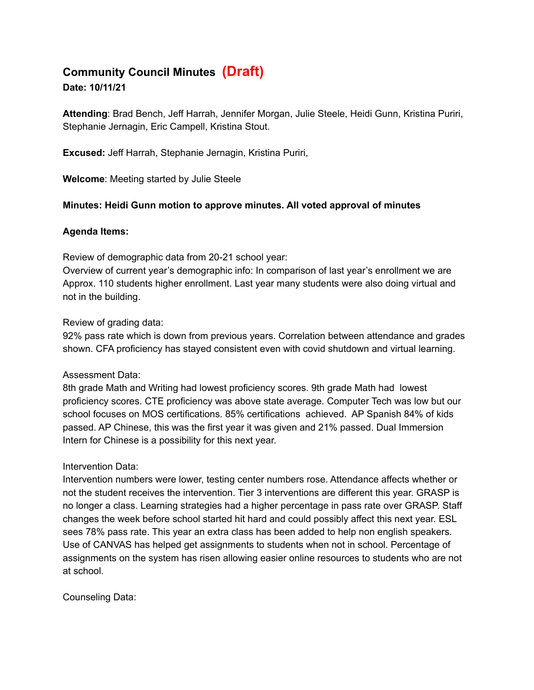# **Community Council Minutes (Draft)**

### **Date: 10/11/21**

**Attending**: Brad Bench, Jeff Harrah, Jennifer Morgan, Julie Steele, Heidi Gunn, Kristina Puriri, Stephanie Jernagin, Eric Campell, Kristina Stout.

**Excused:** Jeff Harrah, Stephanie Jernagin, Kristina Puriri,

**Welcome**: Meeting started by Julie Steele

### **Minutes: Heidi Gunn motion to approve minutes. All voted approval of minutes**

### **Agenda Items:**

Review of demographic data from 20-21 school year:

Overview of current year's demographic info: In comparison of last year's enrollment we are Approx. 110 students higher enrollment. Last year many students were also doing virtual and not in the building.

### Review of grading data:

92% pass rate which is down from previous years. Correlation between attendance and grades shown. CFA proficiency has stayed consistent even with covid shutdown and virtual learning.

#### Assessment Data:

8th grade Math and Writing had lowest proficiency scores. 9th grade Math had lowest proficiency scores. CTE proficiency was above state average. Computer Tech was low but our school focuses on MOS certifications. 85% certifications achieved. AP Spanish 84% of kids passed. AP Chinese, this was the first year it was given and 21% passed. Dual Immersion Intern for Chinese is a possibility for this next year.

## Intervention Data:

Intervention numbers were lower, testing center numbers rose. Attendance affects whether or not the student receives the intervention. Tier 3 interventions are different this year. GRASP is no longer a class. Learning strategies had a higher percentage in pass rate over GRASP. Staff changes the week before school started hit hard and could possibly affect this next year. ESL sees 78% pass rate. This year an extra class has been added to help non english speakers. Use of CANVAS has helped get assignments to students when not in school. Percentage of assignments on the system has risen allowing easier online resources to students who are not at school.

Counseling Data: